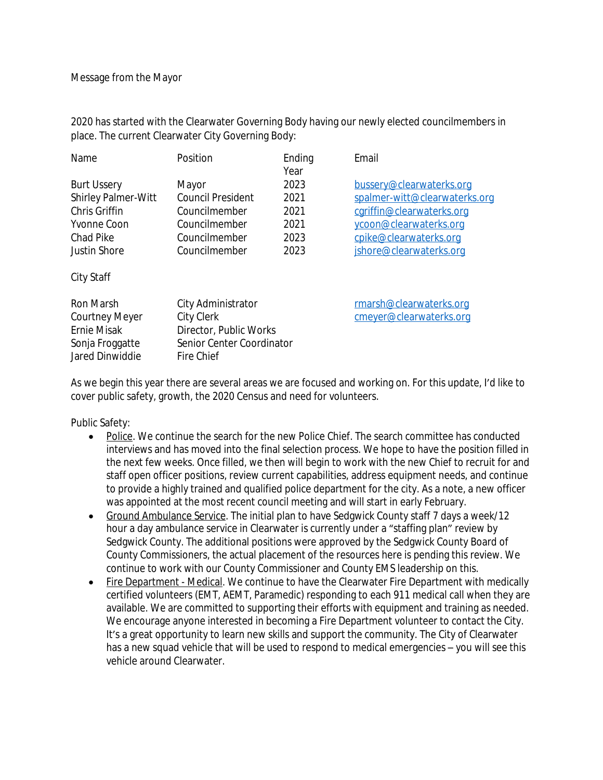2020 has started with the Clearwater Governing Body having our newly elected councilmembers in place. The current Clearwater City Governing Body:

| Name                                                                                                          | Position                                                                                              | Ending<br>Year                               | Email                                                                                                                                                                 |
|---------------------------------------------------------------------------------------------------------------|-------------------------------------------------------------------------------------------------------|----------------------------------------------|-----------------------------------------------------------------------------------------------------------------------------------------------------------------------|
| <b>Burt Ussery</b><br><b>Shirley Palmer-Witt</b><br>Chris Griffin<br>Yvonne Coon<br>Chad Pike<br>Justin Shore | Mayor<br><b>Council President</b><br>Councilmember<br>Councilmember<br>Councilmember<br>Councilmember | 2023<br>2021<br>2021<br>2021<br>2023<br>2023 | bussery@clearwaterks.org<br>spalmer-witt@clearwaterks.org<br>cgriffin@clearwaterks.org<br>ycoon@clearwaterks.org<br>cpike@clearwaterks.org<br>jshore@clearwaterks.org |
| City Staff<br>Ron Marsh<br><b>Courtney Meyer</b><br>Ernie Misak<br>Sonja Froggatte<br>Jared Dinwiddie         | City Administrator<br>City Clerk<br>Director, Public Works<br>Senior Center Coordinator<br>Fire Chief |                                              | rmarsh@clearwaterks.org<br>cmeyer@clearwaterks.org                                                                                                                    |

As we begin this year there are several areas we are focused and working on. For this update, I'd like to cover public safety, growth, the 2020 Census and need for volunteers.

Public Safety:

- Police. We continue the search for the new Police Chief. The search committee has conducted interviews and has moved into the final selection process. We hope to have the position filled in the next few weeks. Once filled, we then will begin to work with the new Chief to recruit for and staff open officer positions, review current capabilities, address equipment needs, and continue to provide a highly trained and qualified police department for the city. As a note, a new officer was appointed at the most recent council meeting and will start in early February.
- Ground Ambulance Service. The initial plan to have Sedgwick County staff 7 days a week/12 hour a day ambulance service in Clearwater is currently under a "staffing plan" review by Sedgwick County. The additional positions were approved by the Sedgwick County Board of County Commissioners, the actual placement of the resources here is pending this review. We continue to work with our County Commissioner and County EMS leadership on this.
- Fire Department Medical. We continue to have the Clearwater Fire Department with medically certified volunteers (EMT, AEMT, Paramedic) responding to each 911 medical call when they are available. We are committed to supporting their efforts with equipment and training as needed. We encourage anyone interested in becoming a Fire Department volunteer to contact the City. It's a great opportunity to learn new skills and support the community. The City of Clearwater has a new squad vehicle that will be used to respond to medical emergencies – you will see this vehicle around Clearwater.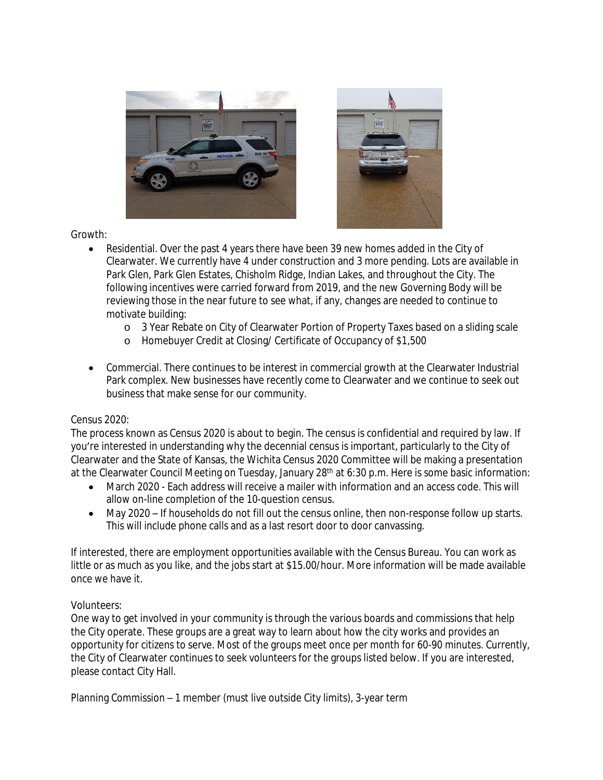



Growth:

- Residential. Over the past 4 years there have been 39 new homes added in the City of Clearwater. We currently have 4 under construction and 3 more pending. Lots are available in Park Glen, Park Glen Estates, Chisholm Ridge, Indian Lakes, and throughout the City. The following incentives were carried forward from 2019, and the new Governing Body will be reviewing those in the near future to see what, if any, changes are needed to continue to motivate building:
	- o 3 Year Rebate on City of Clearwater Portion of Property Taxes based on a sliding scale
	- o Homebuyer Credit at Closing/ Certificate of Occupancy of \$1,500
- Commercial. There continues to be interest in commercial growth at the Clearwater Industrial Park complex. New businesses have recently come to Clearwater and we continue to seek out business that make sense for our community.

## Census 2020:

The process known as Census 2020 is about to begin. The census is confidential and required by law. If you're interested in understanding why the decennial census is important, particularly to the City of Clearwater and the State of Kansas, the Wichita Census 2020 Committee will be making a presentation at the Clearwater Council Meeting on Tuesday, January 28<sup>th</sup> at 6:30 p.m. Here is some basic information:

- March 2020 Each address will receive a mailer with information and an access code. This will allow on-line completion of the 10-question census.
- May 2020 If households do not fill out the census online, then non-response follow up starts. This will include phone calls and as a last resort door to door canvassing.

If interested, there are employment opportunities available with the Census Bureau. You can work as little or as much as you like, and the jobs start at \$15.00/hour. More information will be made available once we have it.

## Volunteers:

One way to get involved in your community is through the various boards and commissions that help the City operate. These groups are a great way to learn about how the city works and provides an opportunity for citizens to serve. Most of the groups meet once per month for 60-90 minutes. Currently, the City of Clearwater continues to seek volunteers for the groups listed below. If you are interested, please contact City Hall.

Planning Commission – 1 member (must live outside City limits), 3-year term